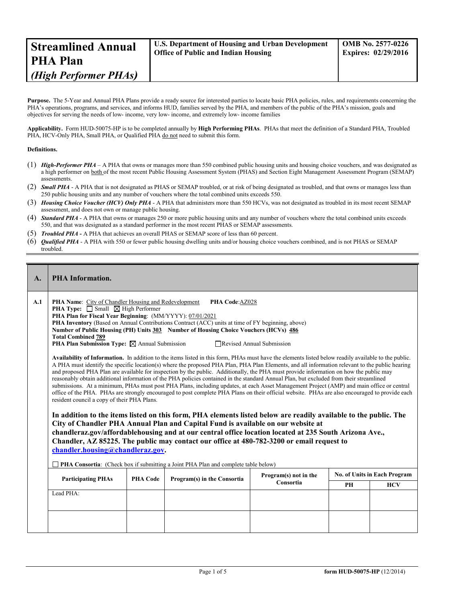| <b>Streamlined Annual</b>                  | <b>OMB No. 2577-0226</b>                                |
|--------------------------------------------|---------------------------------------------------------|
| <b>Office of Public and Indian Housing</b> | <b>U.S. Department of Housing and Urban Development</b> |
| <b>PHA Plan</b>                            | <b>Expires: 02/29/2016</b>                              |
| (High Performer PHAs)                      |                                                         |

**Purpose.** The 5-Year and Annual PHA Plans provide a ready source for interested parties to locate basic PHA policies, rules, and requirements concerning the PHA's operations, programs, and services, and informs HUD, families served by the PHA, and members of the public of the PHA's mission, goals and objectives for serving the needs of low- income, very low- income, and extremely low- income families

**Applicability.** Form HUD-50075-HP is to be completed annually by **High Performing PHAs**. PHAs that meet the definition of a Standard PHA, Troubled PHA, HCV-Only PHA, Small PHA, or Qualified PHA do not need to submit this form.

## **Definitions.**

- (1) *High-Performer PHA* A PHA that owns or manages more than 550 combined public housing units and housing choice vouchers, and was designated as a high performer on both of the most recent Public Housing Assessment System (PHAS) and Section Eight Management Assessment Program (SEMAP) assessments.
- (2) **Small PHA** A PHA that is not designated as PHAS or SEMAP troubled, or at risk of being designated as troubled, and that owns or manages less than 250 public housing units and any number of vouchers where the total combined units exceeds 550.
- (3) *Housing Choice Voucher (HCV) Only PHA* A PHA that administers more than 550 HCVs, was not designated as troubled in its most recent SEMAP assessment, and does not own or manage public housing.
- (4) *Standard PHA* A PHA that owns or manages 250 or more public housing units and any number of vouchers where the total combined units exceeds 550, and that was designated as a standard performer in the most recent PHAS or SEMAP assessments.
- (5) *Troubled PHA* **-** A PHA that achieves an overall PHAS or SEMAP score of less than 60 percent.
- (6) *Qualified PHA* A PHA with 550 or fewer public housing dwelling units and/or housing choice vouchers combined, and is not PHAS or SEMAP troubled.

| $\mathbf{A}$ . | <b>PHA Information.</b>                                                                                                                                                                                                                                                                                                                                                                                                                                                                                                                                                                                                                                                                                                                                                                                                                                                                                                                                                                                                                                                                                                                                                                                                                                                                                                                                                                                                                                                                                                                                                                                                                                                                                                                                                                                                                                                                                                            |  |                                     |  |    |            |
|----------------|------------------------------------------------------------------------------------------------------------------------------------------------------------------------------------------------------------------------------------------------------------------------------------------------------------------------------------------------------------------------------------------------------------------------------------------------------------------------------------------------------------------------------------------------------------------------------------------------------------------------------------------------------------------------------------------------------------------------------------------------------------------------------------------------------------------------------------------------------------------------------------------------------------------------------------------------------------------------------------------------------------------------------------------------------------------------------------------------------------------------------------------------------------------------------------------------------------------------------------------------------------------------------------------------------------------------------------------------------------------------------------------------------------------------------------------------------------------------------------------------------------------------------------------------------------------------------------------------------------------------------------------------------------------------------------------------------------------------------------------------------------------------------------------------------------------------------------------------------------------------------------------------------------------------------------|--|-------------------------------------|--|----|------------|
| A.1            | <b>PHA Name:</b> City of Chandler Housing and Redevelopment<br>PHA Code:AZ028<br><b>PHA Type:</b> $\Box$ Small $\Box$ High Performer<br>PHA Plan for Fiscal Year Beginning: (MM/YYYY): 07/01/2021<br><b>PHA Inventory</b> (Based on Annual Contributions Contract (ACC) units at time of FY beginning, above)<br>Number of Public Housing (PH) Units 303 Number of Housing Choice Vouchers (HCVs) 486<br><b>Total Combined 789</b><br><b>PHA Plan Submission Type:</b> $\boxtimes$ Annual Submission<br>Revised Annual Submission<br>Availability of Information. In addition to the items listed in this form, PHAs must have the elements listed below readily available to the public.<br>A PHA must identify the specific location(s) where the proposed PHA Plan, PHA Plan Elements, and all information relevant to the public hearing<br>and proposed PHA Plan are available for inspection by the public. Additionally, the PHA must provide information on how the public may<br>reasonably obtain additional information of the PHA policies contained in the standard Annual Plan, but excluded from their streamlined<br>submissions. At a minimum, PHAs must post PHA Plans, including updates, at each Asset Management Project (AMP) and main office or central<br>office of the PHA. PHAs are strongly encouraged to post complete PHA Plans on their official website. PHAs are also encouraged to provide each<br>resident council a copy of their PHA Plans.<br>In addition to the items listed on this form, PHA elements listed below are readily available to the public. The<br>City of Chandler PHA Annual Plan and Capital Fund is available on our website at<br>chandleraz.gov/affordablehousing and at our central office location located at 235 South Arizona Ave.,<br>Chandler, AZ 85225. The public may contact our office at 480-782-3200 or email request to<br>chandler.housing@chandleraz.gov. |  |                                     |  |    |            |
|                | <b>PHA Consortia:</b> (Check box if submitting a Joint PHA Plan and complete table below)<br>Program(s) not in the<br><b>Participating PHAs</b><br><b>PHA Code</b><br>Program(s) in the Consortia<br>Consortia                                                                                                                                                                                                                                                                                                                                                                                                                                                                                                                                                                                                                                                                                                                                                                                                                                                                                                                                                                                                                                                                                                                                                                                                                                                                                                                                                                                                                                                                                                                                                                                                                                                                                                                     |  | <b>No. of Units in Each Program</b> |  |    |            |
|                |                                                                                                                                                                                                                                                                                                                                                                                                                                                                                                                                                                                                                                                                                                                                                                                                                                                                                                                                                                                                                                                                                                                                                                                                                                                                                                                                                                                                                                                                                                                                                                                                                                                                                                                                                                                                                                                                                                                                    |  |                                     |  | PH | <b>HCV</b> |
|                | Lead PHA:                                                                                                                                                                                                                                                                                                                                                                                                                                                                                                                                                                                                                                                                                                                                                                                                                                                                                                                                                                                                                                                                                                                                                                                                                                                                                                                                                                                                                                                                                                                                                                                                                                                                                                                                                                                                                                                                                                                          |  |                                     |  |    |            |
|                |                                                                                                                                                                                                                                                                                                                                                                                                                                                                                                                                                                                                                                                                                                                                                                                                                                                                                                                                                                                                                                                                                                                                                                                                                                                                                                                                                                                                                                                                                                                                                                                                                                                                                                                                                                                                                                                                                                                                    |  |                                     |  |    |            |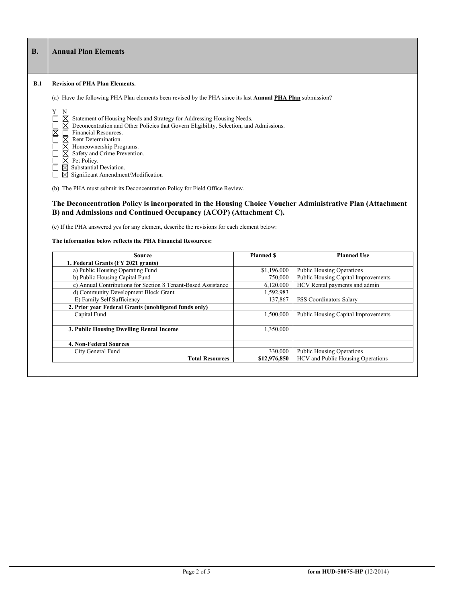### **B.1 Revision of PHA Plan Elements.**

- (a) Have the following PHA Plan elements been revised by the PHA since its last **Annual PHA Plan** submission?
- Y N
	- Statement of Housing Needs and Strategy for Addressing Housing Needs.
- Deconcentration and Other Policies that Govern Eligibility, Selection, and Admissions.
- Financial Resources.
- Rent Determination.
- Homeownership Programs.
- Safety and Crime Prevention.
- Pet Policy. Substantial Deviation.
- □ ⊠ Significant Amendment/Modification

(b) The PHA must submit its Deconcentration Policy for Field Office Review.

# **The Deconcentration Policy is incorporated in the Housing Choice Voucher Administrative Plan (Attachment B) and Admissions and Continued Occupancy (ACOP) (Attachment C).**

(c) If the PHA answered yes for any element, describe the revisions for each element below:

### **The information below reflects the PHA Financial Resources:**

| Source                                                        | <b>Planned S</b> | <b>Planned Use</b>                       |
|---------------------------------------------------------------|------------------|------------------------------------------|
| 1. Federal Grants (FY 2021 grants)                            |                  |                                          |
| a) Public Housing Operating Fund                              | \$1,196,000      | <b>Public Housing Operations</b>         |
| b) Public Housing Capital Fund                                | 750,000          | Public Housing Capital Improvements      |
| c) Annual Contributions for Section 8 Tenant-Based Assistance | 6,120,000        | HCV Rental payments and admin            |
| d) Community Development Block Grant                          | 1,592,983        |                                          |
| E) Family Self Sufficiency                                    | 137,867          | FSS Coordinators Salary                  |
| 2. Prior year Federal Grants (unobligated funds only)         |                  |                                          |
| Capital Fund                                                  | 1.500.000        | Public Housing Capital Improvements      |
| 3. Public Housing Dwelling Rental Income                      | 1,350,000        |                                          |
| <b>4. Non-Federal Sources</b>                                 |                  |                                          |
| City General Fund                                             | 330,000          | Public Housing Operations                |
| <b>Total Resources</b>                                        | \$12,976,850     | <b>HCV</b> and Public Housing Operations |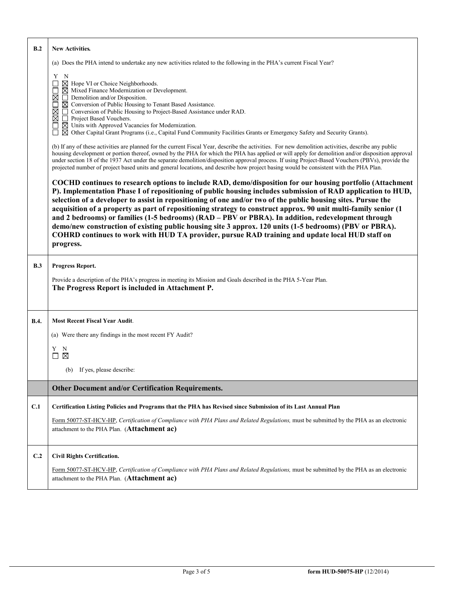| B.2         | <b>New Activities.</b>                                                                                                                                                                                                                                                                                                                                                                                                                                                                                                                                                                                                                                                                                                                                                                          |
|-------------|-------------------------------------------------------------------------------------------------------------------------------------------------------------------------------------------------------------------------------------------------------------------------------------------------------------------------------------------------------------------------------------------------------------------------------------------------------------------------------------------------------------------------------------------------------------------------------------------------------------------------------------------------------------------------------------------------------------------------------------------------------------------------------------------------|
|             | (a) Does the PHA intend to undertake any new activities related to the following in the PHA's current Fiscal Year?                                                                                                                                                                                                                                                                                                                                                                                                                                                                                                                                                                                                                                                                              |
|             | Y N<br>⊠ Hope VI or Choice Neighborhoods.<br>$\boxtimes$ Mixed Finance Modernization or Development.<br>$\Box$ Demolition and/or Disposition.<br>⊠<br>$\boxtimes$ Conversion of Public Housing to Tenant Based Assistance.<br>$\Box$<br>□ Conversion of Public Housing to Project-Based Assistance under RAD.<br>⊠<br>⊠<br>Project Based Vouchers.<br>$\boxtimes$ Units with Approved Vacancies for Modernization.<br>$\boxtimes$ Other Capital Grant Programs (i.e., Capital Fund Community Facilities Grants or Emergency Safety and Security Grants).                                                                                                                                                                                                                                        |
|             | (b) If any of these activities are planned for the current Fiscal Year, describe the activities. For new demolition activities, describe any public<br>housing development or portion thereof, owned by the PHA for which the PHA has applied or will apply for demolition and/or disposition approval<br>under section 18 of the 1937 Act under the separate demolition/disposition approval process. If using Project-Based Vouchers (PBVs), provide the<br>projected number of project based units and general locations, and describe how project basing would be consistent with the PHA Plan.                                                                                                                                                                                             |
|             | COCHD continues to research options to include RAD, demo/disposition for our housing portfolio (Attachment<br>P). Implementation Phase I of repositioning of public housing includes submission of RAD application to HUD,<br>selection of a developer to assist in repositioning of one and/or two of the public housing sites. Pursue the<br>acquisition of a property as part of repositioning strategy to construct approx. 90 unit multi-family senior (1<br>and 2 bedrooms) or families (1-5 bedrooms) (RAD - PBV or PBRA). In addition, redevelopment through<br>demo/new construction of existing public housing site 3 approx. 120 units (1-5 bedrooms) (PBV or PBRA).<br>COHRD continues to work with HUD TA provider, pursue RAD training and update local HUD staff on<br>progress. |
| B.3         | Progress Report.                                                                                                                                                                                                                                                                                                                                                                                                                                                                                                                                                                                                                                                                                                                                                                                |
|             | Provide a description of the PHA's progress in meeting its Mission and Goals described in the PHA 5-Year Plan.<br>The Progress Report is included in Attachment P.                                                                                                                                                                                                                                                                                                                                                                                                                                                                                                                                                                                                                              |
| <b>B.4.</b> | <b>Most Recent Fiscal Year Audit.</b>                                                                                                                                                                                                                                                                                                                                                                                                                                                                                                                                                                                                                                                                                                                                                           |
|             | (a) Were there any findings in the most recent FY Audit?                                                                                                                                                                                                                                                                                                                                                                                                                                                                                                                                                                                                                                                                                                                                        |
|             | Y N<br>$\Box$ $\times$                                                                                                                                                                                                                                                                                                                                                                                                                                                                                                                                                                                                                                                                                                                                                                          |
|             | (b) If yes, please describe:                                                                                                                                                                                                                                                                                                                                                                                                                                                                                                                                                                                                                                                                                                                                                                    |
|             | Other Document and/or Certification Requirements.                                                                                                                                                                                                                                                                                                                                                                                                                                                                                                                                                                                                                                                                                                                                               |
| C.1         | Certification Listing Policies and Programs that the PHA has Revised since Submission of its Last Annual Plan                                                                                                                                                                                                                                                                                                                                                                                                                                                                                                                                                                                                                                                                                   |
|             | Form 50077-ST-HCV-HP, Certification of Compliance with PHA Plans and Related Regulations, must be submitted by the PHA as an electronic<br>attachment to the PHA Plan. (Attachment ac)                                                                                                                                                                                                                                                                                                                                                                                                                                                                                                                                                                                                          |
| C.2         | <b>Civil Rights Certification.</b>                                                                                                                                                                                                                                                                                                                                                                                                                                                                                                                                                                                                                                                                                                                                                              |
|             | Form 50077-ST-HCV-HP, Certification of Compliance with PHA Plans and Related Regulations, must be submitted by the PHA as an electronic<br>attachment to the PHA Plan. (Attachment ac)                                                                                                                                                                                                                                                                                                                                                                                                                                                                                                                                                                                                          |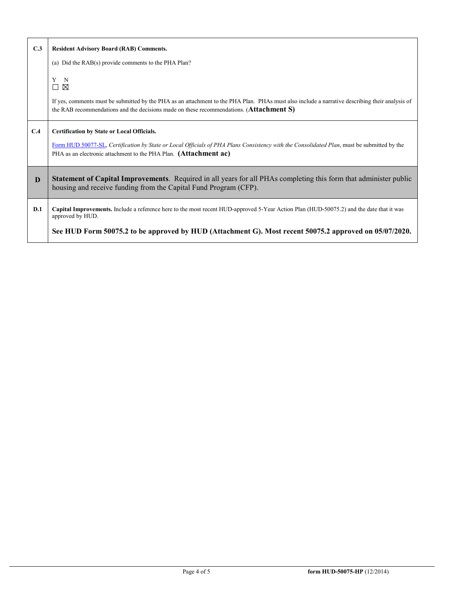| C.3 | <b>Resident Advisory Board (RAB) Comments.</b>                                                                                                                                                                                                                      |
|-----|---------------------------------------------------------------------------------------------------------------------------------------------------------------------------------------------------------------------------------------------------------------------|
|     | (a) Did the RAB(s) provide comments to the PHA Plan?                                                                                                                                                                                                                |
|     | Y<br>- N<br>□<br>⊠<br>If yes, comments must be submitted by the PHA as an attachment to the PHA Plan. PHAs must also include a narrative describing their analysis of                                                                                               |
|     | the RAB recommendations and the decisions made on these recommendations. (Attachment S)                                                                                                                                                                             |
| C.4 | <b>Certification by State or Local Officials.</b><br>Form HUD 50077-SL, Certification by State or Local Officials of PHA Plans Consistency with the Consolidated Plan, must be submitted by the<br>PHA as an electronic attachment to the PHA Plan. (Attachment ac) |
| D   | Statement of Capital Improvements. Required in all years for all PHAs completing this form that administer public<br>housing and receive funding from the Capital Fund Program (CFP).                                                                               |
| D.1 | Capital Improvements. Include a reference here to the most recent HUD-approved 5-Year Action Plan (HUD-50075.2) and the date that it was<br>approved by HUD.                                                                                                        |
|     | See HUD Form 50075.2 to be approved by HUD (Attachment G). Most recent 50075.2 approved on 05/07/2020.                                                                                                                                                              |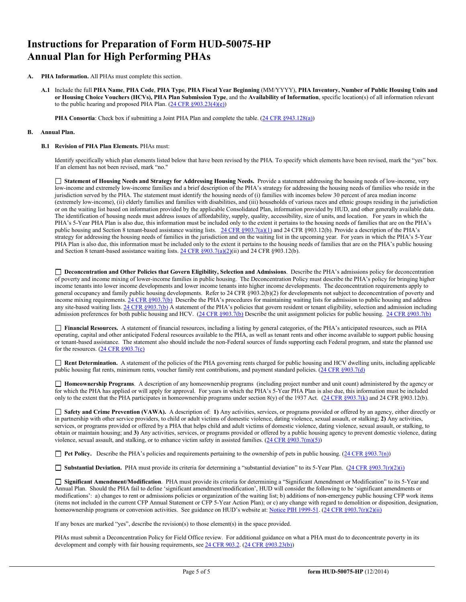# **Instructions for Preparation of Form HUD-50075-HP Annual Plan for High Performing PHAs**

- **A. PHA Information.** All PHAs must complete this section.
	- **A.1** Include the full **PHA Name**, **PHA Code**, **PHA Type**, **PHA Fiscal Year Beginning** (MM/YYYY), **PHA Inventory, Number of Public Housing Units and or Housing Choice Vouchers (HCVs), PHA Plan Submission Type**, and the **Availability of Information**, specific location(s) of all information relevant to the public hearing and proposed PHA Plan.  $(24 \text{ CFR } \S 903.23(4)(e))$

**PHA Consortia**: Check box if submitting a Joint PHA Plan and complete the table. [\(24 CFR §943.128\(a\)\)](http://ecfr.gpoaccess.gov/cgi/t/text/text-idx?c=ecfr&sid=cc31cf1c3a2b84ba4ead75d35d258f67&rgn=div5&view=text&node=24:4.0.3.1.10&idno=24#24:4.0.3.1.10.2.5.7)

### **B. Annual Plan.**

### **B.1 Revision of PHA Plan Elements.** PHAs must:

Identify specifically which plan elements listed below that have been revised by the PHA. To specify which elements have been revised, mark the "yes" box. If an element has not been revised, mark "no."

 **Statement of Housing Needs and Strategy for Addressing Housing Needs.** Provide a statement addressing the housing needs of low-income, very low-income and extremely low-income families and a brief description of the PHA's strategy for addressing the housing needs of families who reside in the jurisdiction served by the PHA. The statement must identify the housing needs of (i) families with incomes below 30 percent of area median income (extremely low-income), (ii) elderly families and families with disabilities, and (iii) households of various races and ethnic groups residing in the jurisdiction or on the waiting list based on information provided by the applicable Consolidated Plan, information provided by HUD, and other generally available data. The identification of housing needs must address issues of affordability, supply, quality, accessibility, size of units, and location. For years in which the PHA's 5-Year PHA Plan is also due, this information must be included only to the extent it pertains to the housing needs of families that are on the PHA's public housing and Section 8 tenant-based assistance waiting lists. [24 CFR §903.7\(a\)\(1\)](http://ecfr.gpoaccess.gov/cgi/t/text/text-idx?c=ecfr&sid=13734845220744370804c20da2294a03&rgn=div5&view=text&node=24:4.0.3.1.3&idno=24#24:4.0.3.1.3.2.5.5) and 24 CFR §903.12(b). Provide a description of the PHA's strategy for addressing the housing needs of families in the jurisdiction and on the waiting list in the upcoming year. For years in which the PHA's 5-Year PHA Plan is also due, this information must be included only to the extent it pertains to the housing needs of families that are on the PHA's public housing and Section 8 tenant-based assistance waiting lists. [24 CFR §903.7\(a\)\(2\)\(](http://ecfr.gpoaccess.gov/cgi/t/text/text-idx?c=ecfr&sid=13734845220744370804c20da2294a03&rgn=div5&view=text&node=24:4.0.3.1.3&idno=24#24:4.0.3.1.3.2.5.5)ii) and 24 CFR §903.12(b).

□ Deconcentration and Other Policies that Govern Eligibility, Selection and Admissions. Describe the PHA's admissions policy for deconcentration of poverty and income mixing of lower-income families in public housing. The Deconcentration Policy must describe the PHA's policy for bringing higher income tenants into lower income developments and lower income tenants into higher income developments. The deconcentration requirements apply to general occupancy and family public housing developments. Refer to 24 CFR §903.2(b)(2) for developments not subject to deconcentration of poverty and income mixing requirements[. 24 CFR §903.7\(b\)](http://ecfr.gpoaccess.gov/cgi/t/text/text-idx?c=ecfr&sid=b44bf19bef93dd31287608d2c687e271&rgn=div5&view=text&node=24:4.0.3.1.3&idno=24#24:4.0.3.1.3.2.5.5) Describe the PHA's procedures for maintaining waiting lists for admission to public housing and address any site-based waiting lists[. 24 CFR §903.7\(b\)](http://ecfr.gpoaccess.gov/cgi/t/text/text-idx?c=ecfr&sid=b44bf19bef93dd31287608d2c687e271&rgn=div5&view=text&node=24:4.0.3.1.3&idno=24#24:4.0.3.1.3.2.5.5) A statement of the PHA's policies that govern resident or tenant eligibility, selection and admission including admission preferences for both public housing and HCV. [\(24 CFR §903.7\(b\)](http://ecfr.gpoaccess.gov/cgi/t/text/text-idx?c=ecfr&sid=b44bf19bef93dd31287608d2c687e271&rgn=div5&view=text&node=24:4.0.3.1.3&idno=24#24:4.0.3.1.3.2.5.5) Describe the unit assignment policies for public housing. [24 CFR §903.7\(b\)](http://ecfr.gpoaccess.gov/cgi/t/text/text-idx?c=ecfr&sid=b44bf19bef93dd31287608d2c687e271&rgn=div5&view=text&node=24:4.0.3.1.3&idno=24#24:4.0.3.1.3.2.5.5)

 **Financial Resources.** A statement of financial resources, including a listing by general categories, of the PHA's anticipated resources, such as PHA operating, capital and other anticipated Federal resources available to the PHA, as well as tenant rents and other income available to support public housing or tenant-based assistance. The statement also should include the non-Federal sources of funds supporting each Federal program, and state the planned use for the resources. [\(24 CFR §903.7\(c\)](http://ecfr.gpoaccess.gov/cgi/t/text/text-idx?c=ecfr&sid=b44bf19bef93dd31287608d2c687e271&rgn=div5&view=text&node=24:4.0.3.1.3&idno=24)

 **Rent Determination.** A statement of the policies of the PHA governing rents charged for public housing and HCV dwelling units, including applicable public housing flat rents, minimum rents, voucher family rent contributions, and payment standard policies. [\(24 CFR §903.7\(d\)](http://ecfr.gpoaccess.gov/cgi/t/text/text-idx?c=ecfr&sid=b44bf19bef93dd31287608d2c687e271&rgn=div5&view=text&node=24:4.0.3.1.3&idno=24#24:4.0.3.1.3.2.5.5)

 **Homeownership Programs**. A description of any homeownership programs (including project number and unit count) administered by the agency or for which the PHA has applied or will apply for approval. For years in which the PHA's 5-Year PHA Plan is also due, this information must be included only to the extent that the PHA participates in homeownership programs under section 8(y) of the 1937 Act. [\(24 CFR §903.7\(k\)](http://ecfr.gpoaccess.gov/cgi/t/text/text-idx?c=ecfr&sid=b44bf19bef93dd31287608d2c687e271&rgn=div5&view=text&node=24:4.0.3.1.3&idno=24#24:4.0.3.1.3.2.5.5) and 24 CFR §903.12(b).

 **Safety and Crime Prevention (VAWA).** A description of: **1)** Any activities, services, or programs provided or offered by an agency, either directly or in partnership with other service providers, to child or adult victims of domestic violence, dating violence, sexual assault, or stalking; **2)** Any activities, services, or programs provided or offered by a PHA that helps child and adult victims of domestic violence, dating violence, sexual assault, or stalking, to obtain or maintain housing; and **3)** Any activities, services, or programs provided or offered by a public housing agency to prevent domestic violence, dating violence, sexual assault, and stalking, or to enhance victim safety in assisted families.  $(24 \text{ CFR } \text{\textless} 903.7(m)(5))$ 

**Pet Policy.** Describe the PHA's policies and requirements pertaining to the ownership of pets in public housing. [\(24 CFR §903.7\(n\)\)](http://ecfr.gpoaccess.gov/cgi/t/text/text-idx?c=ecfr&sid=13734845220744370804c20da2294a03&rgn=div5&view=text&node=24:4.0.3.1.3&idno=24#24:4.0.3.1.3.2.5.5)

■ **Substantial Deviation.** PHA must provide its criteria for determining a "substantial deviation" to its 5-Year Plan. (24 CFR §903.7(r)(2)(i)

 **Significant Amendment/Modification**. PHA must provide its criteria for determining a "Significant Amendment or Modification" to its 5-Year and Annual Plan. Should the PHA fail to define 'significant amendment/modification', HUD will consider the following to be 'significant amendments or modifications': a) changes to rent or admissions policies or organization of the waiting list; b) additions of non-emergency public housing CFP work items (items not included in the current CFP Annual Statement or CFP 5-Year Action Plan); or c) any change with regard to demolition or disposition, designation, homeownership programs or conversion activities. See guidance on HUD's website at: [Notice PIH 1999-51.](http://portal.hud.gov/hudportal/HUD?src=/program_offices/administration/hudclips/notices/pih) (24 CFR §903.7(r)(2)(ii)

If any boxes are marked "yes", describe the revision(s) to those element(s) in the space provided.

PHAs must submit a Deconcentration Policy for Field Office review. For additional guidance on what a PHA must do to deconcentrate poverty in its development and comply with fair housing requirements, se[e 24 CFR 903.2.](http://ecfr.gpoaccess.gov/cgi/t/text/text-idx?c=ecfr&sid=31b6a8e6f1110b36cc115eb6e4d5e3b4&rgn=div5&view=text&node=24:4.0.3.1.3&idno=24#24:4.0.3.1.3.1.5.2) [\(24 CFR §903.23\(b\)\)](http://ecfr.gpoaccess.gov/cgi/t/text/text-idx?c=ecfr&sid=13734845220744370804c20da2294a03&rgn=div5&view=text&node=24:4.0.3.1.3&idno=24#24:4.0.3.1.3.2.5.9)